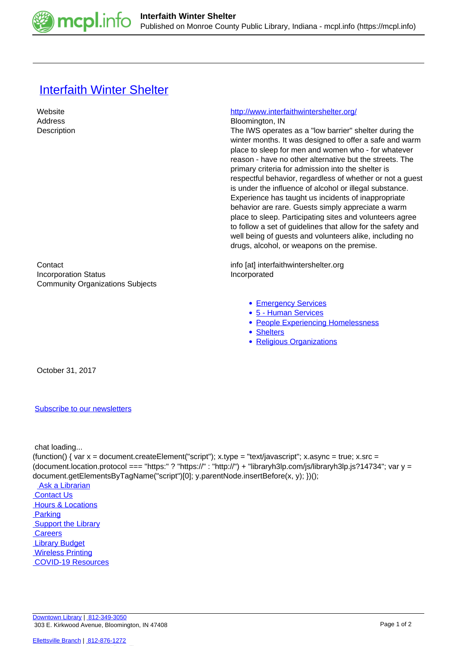

## [Interfaith Winter Shelter](https://mcpl.info/commorg/interfaith-winter-shelter)

 Website <http://www.interfaithwintershelter.org/> Address Bloomington, IN Description **Description** The IWS operates as a "low barrier" shelter during the winter months. It was designed to offer a safe and warm place to sleep for men and women who - for whatever reason - have no other alternative but the streets. The primary criteria for admission into the shelter is respectful behavior, regardless of whether or not a guest is under the influence of alcohol or illegal substance. Experience has taught us incidents of inappropriate behavior are rare. Guests simply appreciate a warm place to sleep. Participating sites and volunteers agree to follow a set of guidelines that allow for the safety and well being of guests and volunteers alike, including no drugs, alcohol, or weapons on the premise. Contact info [at] interfaithwintershelter.org Incorporation Status **Incorporated** Community Organizations Subjects • [Emergency Services](https://mcpl.info/taxonomy/term/25075) [5 - Human Services](https://mcpl.info/community-organization-subjects/5-human-services) • [People Experiencing Homelessness](https://mcpl.info/taxonomy/term/25109) • [Shelters](https://mcpl.info/taxonomy/term/25125) • [Religious Organizations](https://mcpl.info/community-organization-subjects/religious-organizations) October 31, 2017

## [Subscribe to our newsletters](https://mcpl.info/geninfo/subscribe-think-library-newsletter)

chat loading...

(function() { var x = document.createElement("script"); x.type = "text/javascript"; x.async = true; x.src = (document.location.protocol === "https:" ? "https://" : "http://") + "libraryh3lp.com/js/libraryh3lp.js?14734"; var y = document.getElementsByTagName("script")[0]; y.parentNode.insertBefore(x, y); })();

 [Ask a Librarian](https://mcpl.info/askus)  [Contact Us](https://mcpl.info/geninfo/contact-us) **Hours & Locations Parking Support the Library Careers**  [Library Budget](https://budgetnotices.in.gov/unit_lookup.aspx?ct=53000) **Wireless Printing**  [COVID-19 Resources](https://mcpl.info/geninfo/local-covid-resources)